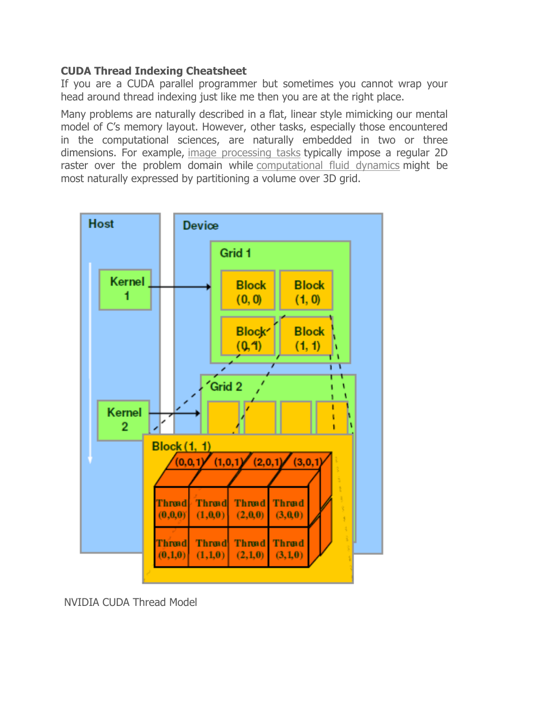#### **CUDA Thread Indexing Cheatsheet**

If you are a CUDA parallel programmer but sometimes you cannot wrap your head around thread indexing just like me then you are at the right place.

Many problems are naturally described in a flat, linear style mimicking our mental model of C's memory layout. However, other tasks, especially those encountered in the computational sciences, are naturally embedded in two or three dimensions. For example, image processing tasks typically impose a regular 2D raster over the problem domain while computational fluid dynamics might be most naturally expressed by partitioning a volume over 3D grid.



NVIDIA CUDA Thread Model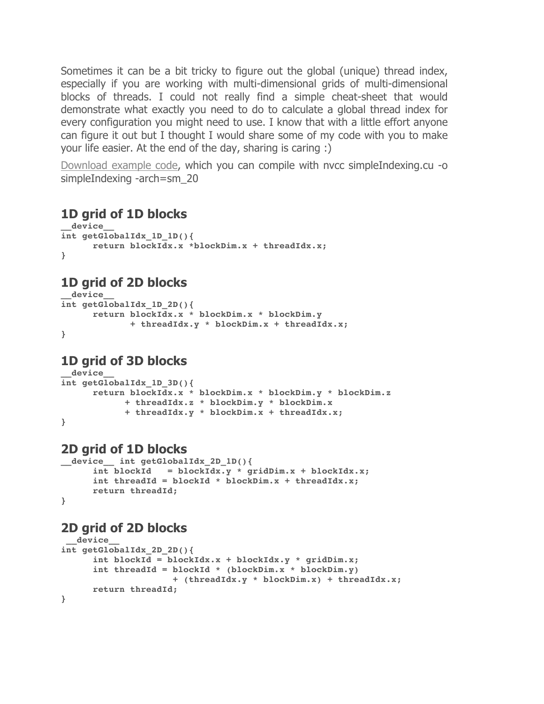Sometimes it can be a bit tricky to figure out the global (unique) thread index, especially if you are working with multi-dimensional grids of multi-dimensional blocks of threads. I could not really find a simple cheat-sheet that would demonstrate what exactly you need to do to calculate a global thread index for every configuration you might need to use. I know that with a little effort anyone can figure it out but I thought I would share some of my code with you to make your life easier. At the end of the day, sharing is caring :)

Download example code, which you can compile with nvcc simpleIndexing.cu -o simpleIndexing -arch=sm\_20

### **1D grid of 1D blocks**

```
__device__ 
int getGlobalIdx_1D_1D(){
      return blockIdx.x *blockDim.x + threadIdx.x;
}
```
# **1D grid of 2D blocks**

```
__device__
int getGlobalIdx_1D_2D(){
      return blockIdx.x * blockDim.x * blockDim.y 
              + threadIdx.y * blockDim.x + threadIdx.x;
}
```
### **1D grid of 3D blocks**

```
__device__ 
int getGlobalIdx_1D_3D(){
      return blockIdx.x * blockDim.x * blockDim.y * blockDim.z
             + threadIdx.z * blockDim.y * blockDim.x 
             + threadIdx.y * blockDim.x + threadIdx.x;
}
```
### **2D grid of 1D blocks**

```
__device__ int getGlobalIdx_2D_1D(){
      int blockId = blockIdx.y * gridDim.x + blockIdx.x;
     int threadId = blockId * blockDim.x + threadIdx.x;
     return threadId;
}
```
#### **2D grid of 2D blocks**

```
__device__ 
int getGlobalIdx_2D_2D(){
      int blockId = blockIdx.x + blockIdx.y * gridDim.x;
      int threadId = blockId * (blockDim.x * blockDim.y)
                      + (threadIdx.y * blockDim.x) + threadIdx.x;
     return threadId;
}
```